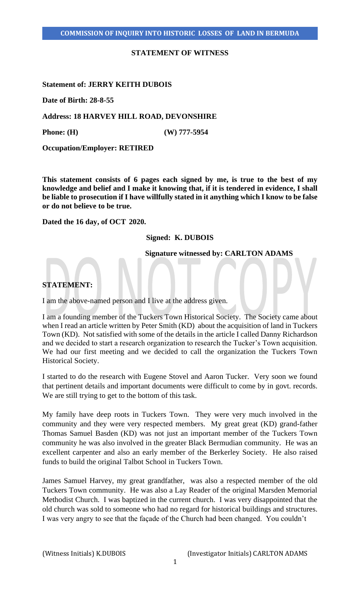### **STATEMENT OF WITNESS**

### **Statement of: JERRY KEITH DUBOIS**

**Date of Birth: 28-8-55**

**Address: 18 HARVEY HILL ROAD, DEVONSHIRE**

**Phone: (H) (W) 777-5954**

**Occupation/Employer: RETIRED**

**This statement consists of 6 pages each signed by me, is true to the best of my knowledge and belief and I make it knowing that, if it is tendered in evidence, I shall be liable to prosecution if I have willfully stated in it anything which I know to be false or do not believe to be true.** 

**Dated the 16 day, of OCT 2020.** 

# **Signed: K. DUBOIS**

 **Signature witnessed by: CARLTON ADAMS**

## **STATEMENT:**

I am the above-named person and I live at the address given.

I am a founding member of the Tuckers Town Historical Society. The Society came about when I read an article written by Peter Smith (KD) about the acquisition of land in Tuckers Town (KD). Not satisfied with some of the details in the article I called Danny Richardson and we decided to start a research organization to research the Tucker's Town acquisition. We had our first meeting and we decided to call the organization the Tuckers Town Historical Society.

I started to do the research with Eugene Stovel and Aaron Tucker. Very soon we found that pertinent details and important documents were difficult to come by in govt. records. We are still trying to get to the bottom of this task.

My family have deep roots in Tuckers Town. They were very much involved in the community and they were very respected members. My great great (KD) grand-father Thomas Samuel Basden (KD) was not just an important member of the Tuckers Town community he was also involved in the greater Black Bermudian community. He was an excellent carpenter and also an early member of the Berkerley Society. He also raised funds to build the original Talbot School in Tuckers Town.

James Samuel Harvey, my great grandfather, was also a respected member of the old Tuckers Town community. He was also a Lay Reader of the original Marsden Memorial Methodist Church. I was baptized in the current church. I was very disappointed that the old church was sold to someone who had no regard for historical buildings and structures. I was very angry to see that the façade of the Church had been changed. You couldn't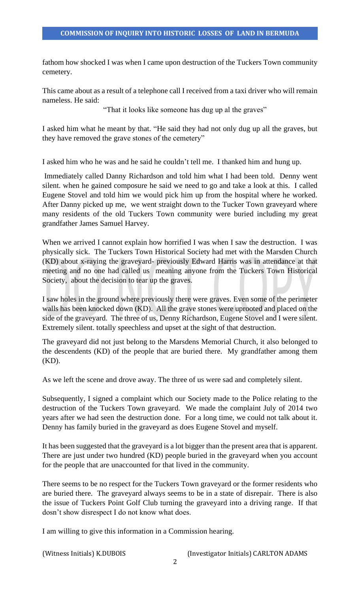fathom how shocked I was when I came upon destruction of the Tuckers Town community cemetery.

This came about as a result of a telephone call I received from a taxi driver who will remain nameless. He said:

"That it looks like someone has dug up al the graves"

I asked him what he meant by that. "He said they had not only dug up all the graves, but they have removed the grave stones of the cemetery"

I asked him who he was and he said he couldn't tell me. I thanked him and hung up.

Immediately called Danny Richardson and told him what I had been told. Denny went silent. when he gained composure he said we need to go and take a look at this. I called Eugene Stovel and told him we would pick him up from the hospital where he worked. After Danny picked up me, we went straight down to the Tucker Town graveyard where many residents of the old Tuckers Town community were buried including my great grandfather James Samuel Harvey.

When we arrived I cannot explain how horrified I was when I saw the destruction. I was physically sick. The Tuckers Town Historical Society had met with the Marsden Church (KD) about x-raying the graveyard- previously Edward Harris was in attendance at that meeting and no one had called us meaning anyone from the Tuckers Town Historical Society, about the decision to tear up the graves.

I saw holes in the ground where previously there were graves. Even some of the perimeter walls has been knocked down (KD). All the grave stones were uprooted and placed on the side of the graveyard. The three of us, Denny Richardson, Eugene Stovel and I were silent. Extremely silent. totally speechless and upset at the sight of that destruction.

The graveyard did not just belong to the Marsdens Memorial Church, it also belonged to the descendents (KD) of the people that are buried there. My grandfather among them (KD).

As we left the scene and drove away. The three of us were sad and completely silent.

Subsequently, I signed a complaint which our Society made to the Police relating to the destruction of the Tuckers Town graveyard. We made the complaint July of 2014 two years after we had seen the destruction done. For a long time, we could not talk about it. Denny has family buried in the graveyard as does Eugene Stovel and myself.

It has been suggested that the graveyard is a lot bigger than the present area that is apparent. There are just under two hundred (KD) people buried in the graveyard when you account for the people that are unaccounted for that lived in the community.

There seems to be no respect for the Tuckers Town graveyard or the former residents who are buried there. The graveyard always seems to be in a state of disrepair. There is also the issue of Tuckers Point Golf Club turning the graveyard into a driving range. If that dosn't show disrespect I do not know what does.

I am willing to give this information in a Commission hearing.